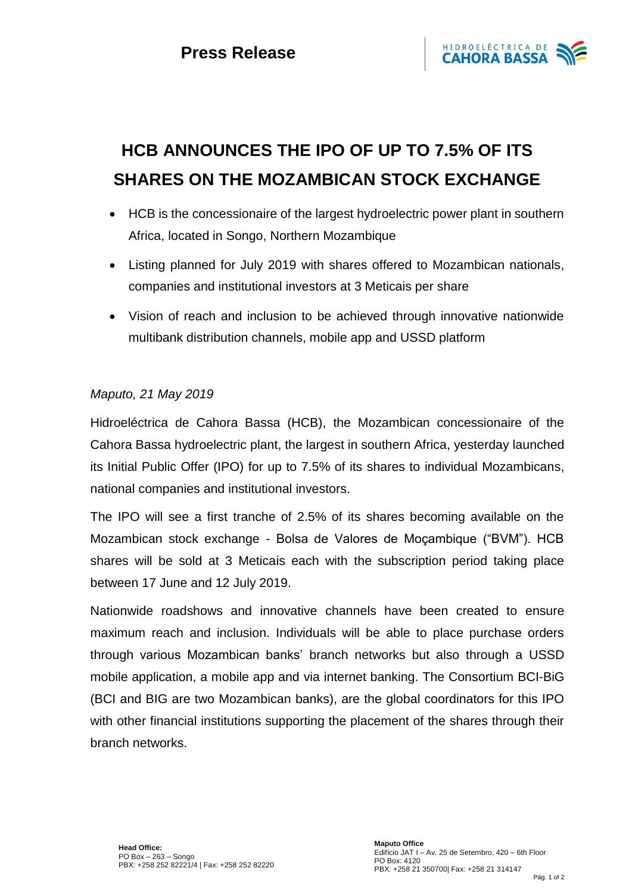

## **HCB ANNOUNCES THE IPO OF UP TO 7.5% OF ITS SHARES ON THE MOZAMBICAN STOCK EXCHANGE**

- HCB is the concessionaire of the largest hydroelectric power plant in southern Africa, located in Songo, Northern Mozambique
- Listing planned for July 2019 with shares offered to Mozambican nationals, companies and institutional investors at 3 Meticais per share
- Vision of reach and inclusion to be achieved through innovative nationwide multibank distribution channels, mobile app and USSD platform

## *Maputo, 21 May 2019*

Hidroeléctrica de Cahora Bassa (HCB), the Mozambican concessionaire of the Cahora Bassa hydroelectric plant, the largest in southern Africa, yesterday launched its Initial Public Offer (IPO) for up to 7.5% of its shares to individual Mozambicans, national companies and institutional investors.

The IPO will see a first tranche of 2.5% of its shares becoming available on the Mozambican stock exchange - Bolsa de Valores de Moçambique ("BVM"). HCB shares will be sold at 3 Meticais each with the subscription period taking place between 17 June and 12 July 2019.

Nationwide roadshows and innovative channels have been created to ensure maximum reach and inclusion. Individuals will be able to place purchase orders through various Mozambican banks' branch networks but also through a USSD mobile application, a mobile app and via internet banking. The Consortium BCI-BiG (BCI and BIG are two Mozambican banks), are the global coordinators for this IPO with other financial institutions supporting the placement of the shares through their branch networks.